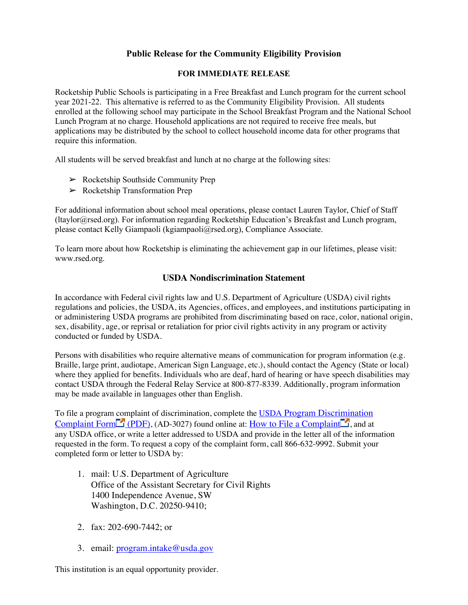# **Public Release for the Community Eligibility Provision**

#### **FOR IMMEDIATE RELEASE**

Rocketship Public Schools is participating in a Free Breakfast and Lunch program for the current school year 2021-22. This alternative is referred to as the Community Eligibility Provision. All students enrolled at the following school may participate in the School Breakfast Program and the National School Lunch Program at no charge. Household applications are not required to receive free meals, but applications may be distributed by the school to collect household income data for other programs that require this information.

All students will be served breakfast and lunch at no charge at the following sites:

- $\triangleright$  Rocketship Southside Community Prep
- ➢ Rocketship Transformation Prep

For additional information about school meal operations, please contact Lauren Taylor, Chief of Staff (ltaylor@rsed.org). For information regarding Rocketship Education's Breakfast and Lunch program, please contact Kelly Giampaoli (kgiampaoli@rsed.org), Compliance Associate.

To learn more about how Rocketship is eliminating the achievement gap in our lifetimes, please visit: www.rsed.org.

#### **USDA Nondiscrimination Statement**

In accordance with Federal civil rights law and U.S. Department of Agriculture (USDA) civil rights regulations and policies, the USDA, its Agencies, offices, and employees, and institutions participating in or administering USDA programs are prohibited from discriminating based on race, color, national origin, sex, disability, age, or reprisal or retaliation for prior civil rights activity in any program or activity conducted or funded by USDA.

Persons with disabilities who require alternative means of communication for program information (e.g. Braille, large print, audiotape, American Sign Language, etc.), should contact the Agency (State or local) where they applied for benefits. Individuals who are deaf, hard of hearing or have speech disabilities may contact USDA through the Federal Relay Service at 800-877-8339. Additionally, program information may be made available in languages other than English.

To file a program complaint of discrimination, complete the USDA Program Discrimination Complaint Form (PDF), (AD-3027) found online at: How to File a Complaint  $\Box$ , and at any USDA office, or write a letter addressed to USDA and provide in the letter all of the information requested in the form. To request a copy of the complaint form, call 866-632-9992. Submit your completed form or letter to USDA by:

- 1. mail: U.S. Department of Agriculture Office of the Assistant Secretary for Civil Rights 1400 Independence Avenue, SW Washington, D.C. 20250-9410;
- 2. fax: 202-690-7442; or
- 3. email: program.intake@usda.gov

This institution is an equal opportunity provider.